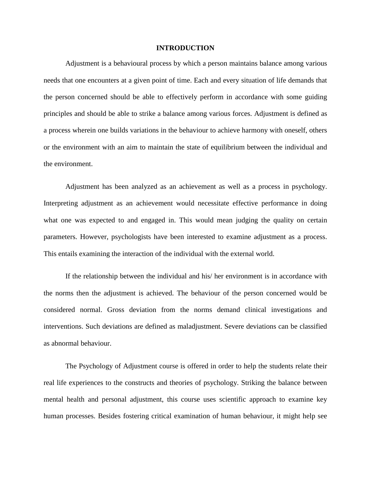# **INTRODUCTION**

Adjustment is a behavioural process by which a person maintains balance among various needs that one encounters at a given point of time. Each and every situation of life demands that the person concerned should be able to effectively perform in accordance with some guiding principles and should be able to strike a balance among various forces. Adjustment is defined as a process wherein one builds variations in the behaviour to achieve harmony with oneself, others or the environment with an aim to maintain the state of equilibrium between the individual and the environment.

Adjustment has been analyzed as an achievement as well as a process in psychology. Interpreting adjustment as an achievement would necessitate effective performance in doing what one was expected to and engaged in. This would mean judging the quality on certain parameters. However, psychologists have been interested to examine adjustment as a process. This entails examining the interaction of the individual with the external world.

If the relationship between the individual and his/ her environment is in accordance with the norms then the adjustment is achieved. The behaviour of the person concerned would be considered normal. Gross deviation from the norms demand clinical investigations and interventions. Such deviations are defined as maladjustment. Severe deviations can be classified as abnormal behaviour.

The Psychology of Adjustment course is offered in order to help the students relate their real life experiences to the constructs and theories of psychology. Striking the balance between mental health and personal adjustment, this course uses scientific approach to examine key human processes. Besides fostering critical examination of human behaviour, it might help see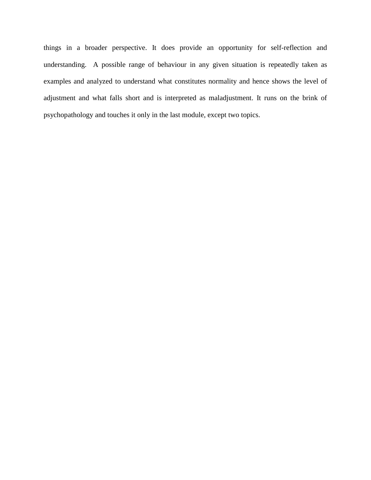things in a broader perspective. It does provide an opportunity for self-reflection and understanding. A possible range of behaviour in any given situation is repeatedly taken as examples and analyzed to understand what constitutes normality and hence shows the level of adjustment and what falls short and is interpreted as maladjustment. It runs on the brink of psychopathology and touches it only in the last module, except two topics.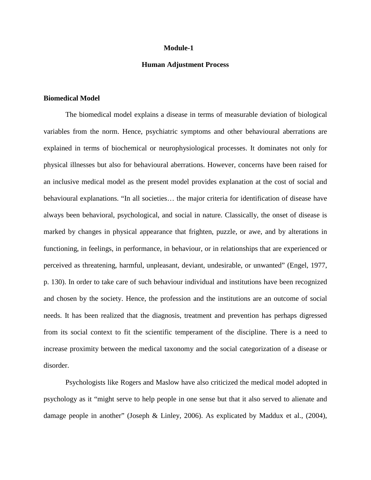#### **Module-1**

### **Human Adjustment Process**

### **Biomedical Model**

The biomedical model explains a disease in terms of measurable deviation of biological variables from the norm. Hence, psychiatric symptoms and other behavioural aberrations are explained in terms of biochemical or neurophysiological processes. It dominates not only for physical illnesses but also for behavioural aberrations. However, concerns have been raised for an inclusive medical model as the present model provides explanation at the cost of social and behavioural explanations. "In all societies… the major criteria for identification of disease have always been behavioral, psychological, and social in nature. Classically, the onset of disease is marked by changes in physical appearance that frighten, puzzle, or awe, and by alterations in functioning, in feelings, in performance, in behaviour, or in relationships that are experienced or perceived as threatening, harmful, unpleasant, deviant, undesirable, or unwanted" (Engel, 1977, p. 130). In order to take care of such behaviour individual and institutions have been recognized and chosen by the society. Hence, the profession and the institutions are an outcome of social needs. It has been realized that the diagnosis, treatment and prevention has perhaps digressed from its social context to fit the scientific temperament of the discipline. There is a need to increase proximity between the medical taxonomy and the social categorization of a disease or disorder.

Psychologists like Rogers and Maslow have also criticized the medical model adopted in psychology as it "might serve to help people in one sense but that it also served to alienate and damage people in another" (Joseph & Linley, 2006). As explicated by Maddux et al., (2004),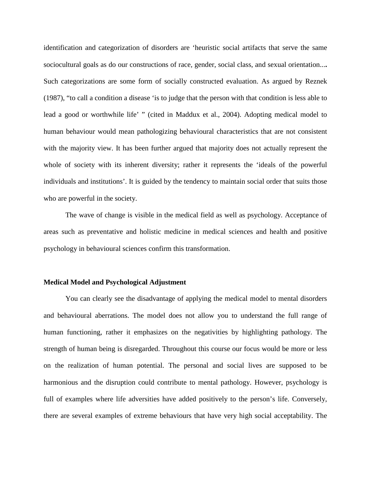identification and categorization of disorders are 'heuristic social artifacts that serve the same sociocultural goals as do our constructions of race, gender, social class, and sexual orientation...**.** Such categorizations are some form of socially constructed evaluation. As argued by Reznek (1987), "to call a condition a disease 'is to judge that the person with that condition is less able to lead a good or worthwhile life' " (cited in Maddux et al., 2004). Adopting medical model to human behaviour would mean pathologizing behavioural characteristics that are not consistent with the majority view. It has been further argued that majority does not actually represent the whole of society with its inherent diversity; rather it represents the 'ideals of the powerful individuals and institutions'. It is guided by the tendency to maintain social order that suits those who are powerful in the society.

The wave of change is visible in the medical field as well as psychology. Acceptance of areas such as preventative and holistic medicine in medical sciences and health and positive psychology in behavioural sciences confirm this transformation.

# **Medical Model and Psychological Adjustment**

You can clearly see the disadvantage of applying the medical model to mental disorders and behavioural aberrations. The model does not allow you to understand the full range of human functioning, rather it emphasizes on the negativities by highlighting pathology. The strength of human being is disregarded. Throughout this course our focus would be more or less on the realization of human potential. The personal and social lives are supposed to be harmonious and the disruption could contribute to mental pathology. However, psychology is full of examples where life adversities have added positively to the person's life. Conversely, there are several examples of extreme behaviours that have very high social acceptability. The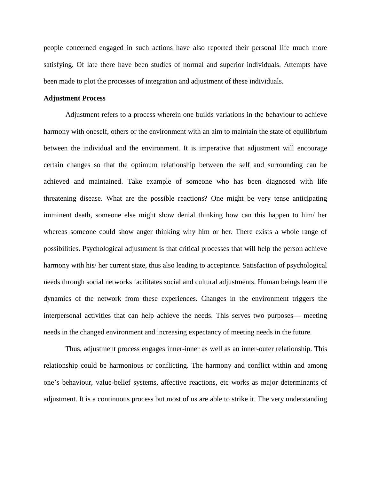people concerned engaged in such actions have also reported their personal life much more satisfying. Of late there have been studies of normal and superior individuals. Attempts have been made to plot the processes of integration and adjustment of these individuals.

## **Adjustment Process**

Adjustment refers to a process wherein one builds variations in the behaviour to achieve harmony with oneself, others or the environment with an aim to maintain the state of equilibrium between the individual and the environment. It is imperative that adjustment will encourage certain changes so that the optimum relationship between the self and surrounding can be achieved and maintained. Take example of someone who has been diagnosed with life threatening disease. What are the possible reactions? One might be very tense anticipating imminent death, someone else might show denial thinking how can this happen to him/ her whereas someone could show anger thinking why him or her. There exists a whole range of possibilities. Psychological adjustment is that critical processes that will help the person achieve harmony with his/ her current state, thus also leading to acceptance. Satisfaction of psychological needs through social networks facilitates social and cultural adjustments. Human beings learn the dynamics of the network from these experiences. Changes in the environment triggers the interpersonal activities that can help achieve the needs. This serves two purposes— meeting needs in the changed environment and increasing expectancy of meeting needs in the future.

Thus, adjustment process engages inner-inner as well as an inner-outer relationship. This relationship could be harmonious or conflicting. The harmony and conflict within and among one's behaviour, value-belief systems, affective reactions, etc works as major determinants of adjustment. It is a continuous process but most of us are able to strike it. The very understanding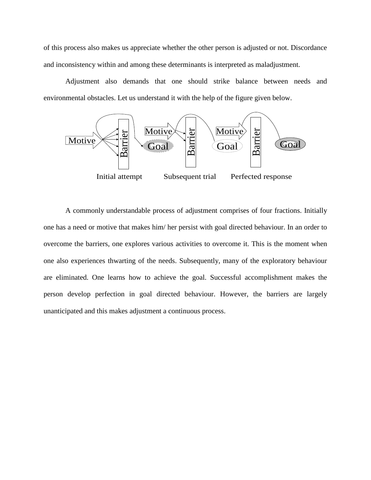of this process also makes us appreciate whether the other person is adjusted or not. Discordance and inconsistency within and among these determinants is interpreted as maladjustment.

Adjustment also demands that one should strike balance between needs and environmental obstacles. Let us understand it with the help of the figure given below.



A commonly understandable process of adjustment comprises of four fractions. Initially one has a need or motive that makes him/ her persist with goal directed behaviour. In an order to overcome the barriers, one explores various activities to overcome it. This is the moment when one also experiences thwarting of the needs. Subsequently, many of the exploratory behaviour are eliminated. One learns how to achieve the goal. Successful accomplishment makes the person develop perfection in goal directed behaviour. However, the barriers are largely unanticipated and this makes adjustment a continuous process.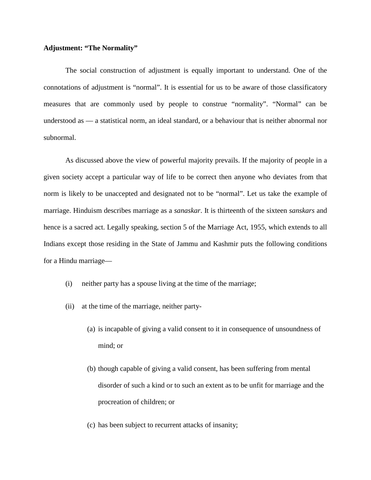## **Adjustment: "The Normality"**

The social construction of adjustment is equally important to understand. One of the connotations of adjustment is "normal". It is essential for us to be aware of those classificatory measures that are commonly used by people to construe "normality". "Normal" can be understood as — a statistical norm, an ideal standard, or a behaviour that is neither abnormal nor subnormal.

As discussed above the view of powerful majority prevails. If the majority of people in a given society accept a particular way of life to be correct then anyone who deviates from that norm is likely to be unaccepted and designated not to be "normal". Let us take the example of marriage. Hinduism describes marriage as a *sanaskar*. It is thirteenth of the sixteen *sanskars* and hence is a sacred act. Legally speaking, section 5 of the Marriage Act, 1955, which extends to all Indians except those residing in the State of Jammu and Kashmir puts the following conditions for a Hindu marriage—

- (i) neither party has a spouse living at the time of the marriage;
- (ii) at the time of the marriage, neither party-
	- (a) is incapable of giving a valid consent to it in consequence of unsoundness of mind; or
	- (b) though capable of giving a valid consent, has been suffering from mental disorder of such a kind or to such an extent as to be unfit for marriage and the procreation of children; or
	- (c) has been subject to recurrent attacks of insanity;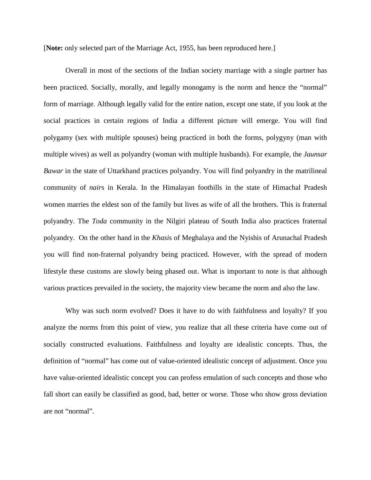[**Note:** only selected part of the Marriage Act, 1955, has been reproduced here.]

Overall in most of the sections of the Indian society marriage with a single partner has been practiced. Socially, morally, and legally monogamy is the norm and hence the "normal" form of marriage. Although legally valid for the entire nation, except one state, if you look at the social practices in certain regions of India a different picture will emerge. You will find polygamy (sex with multiple spouses) being practiced in both the forms, polygyny (man with multiple wives) as well as polyandry (woman with multiple husbands). For example, the *Jaunsar Bawar* in the state of Uttarkhand practices polyandry. You will find polyandry in the matrilineal community of *nair*s in Kerala. In the Himalayan foothills in the state of Himachal Pradesh women marries the eldest son of the family but lives as wife of all the brothers. This is fraternal polyandry. The *Toda* community in the Nilgiri plateau of South India also practices fraternal polyandry. On the other hand in the *Khasi*s of Meghalaya and the Nyishis of Arunachal Pradesh you will find non-fraternal polyandry being practiced. However, with the spread of modern lifestyle these customs are slowly being phased out. What is important to note is that although various practices prevailed in the society, the majority view became the norm and also the law.

Why was such norm evolved? Does it have to do with faithfulness and loyalty? If you analyze the norms from this point of view, you realize that all these criteria have come out of socially constructed evaluations. Faithfulness and loyalty are idealistic concepts. Thus, the definition of "normal" has come out of value-oriented idealistic concept of adjustment. Once you have value-oriented idealistic concept you can profess emulation of such concepts and those who fall short can easily be classified as good, bad, better or worse. Those who show gross deviation are not "normal".